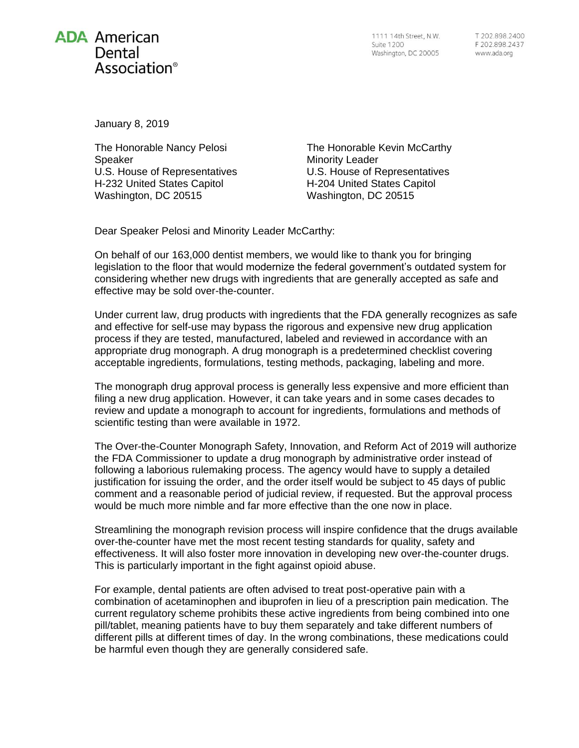

1111 14th Street, N.W. **Suite 1200** Washington, DC 20005

January 8, 2019

The Honorable Nancy Pelosi Speaker U.S. House of Representatives H-232 United States Capitol Washington, DC 20515

The Honorable Kevin McCarthy Minority Leader U.S. House of Representatives H-204 United States Capitol Washington, DC 20515

Dear Speaker Pelosi and Minority Leader McCarthy:

On behalf of our 163,000 dentist members, we would like to thank you for bringing legislation to the floor that would modernize the federal government's outdated system for considering whether new drugs with ingredients that are generally accepted as safe and effective may be sold over-the-counter.

Under current law, drug products with ingredients that the FDA generally recognizes as safe and effective for self-use may bypass the rigorous and expensive new drug application process if they are tested, manufactured, labeled and reviewed in accordance with an appropriate drug monograph. A drug monograph is a predetermined checklist covering acceptable ingredients, formulations, testing methods, packaging, labeling and more.

The monograph drug approval process is generally less expensive and more efficient than filing a new drug application. However, it can take years and in some cases decades to review and update a monograph to account for ingredients, formulations and methods of scientific testing than were available in 1972.

The Over-the-Counter Monograph Safety, Innovation, and Reform Act of 2019 will authorize the FDA Commissioner to update a drug monograph by administrative order instead of following a laborious rulemaking process. The agency would have to supply a detailed justification for issuing the order, and the order itself would be subject to 45 days of public comment and a reasonable period of judicial review, if requested. But the approval process would be much more nimble and far more effective than the one now in place.

Streamlining the monograph revision process will inspire confidence that the drugs available over-the-counter have met the most recent testing standards for quality, safety and effectiveness. It will also foster more innovation in developing new over-the-counter drugs. This is particularly important in the fight against opioid abuse.

For example, dental patients are often advised to treat post-operative pain with a combination of acetaminophen and ibuprofen in lieu of a prescription pain medication. The current regulatory scheme prohibits these active ingredients from being combined into one pill/tablet, meaning patients have to buy them separately and take different numbers of different pills at different times of day. In the wrong combinations, these medications could be harmful even though they are generally considered safe.